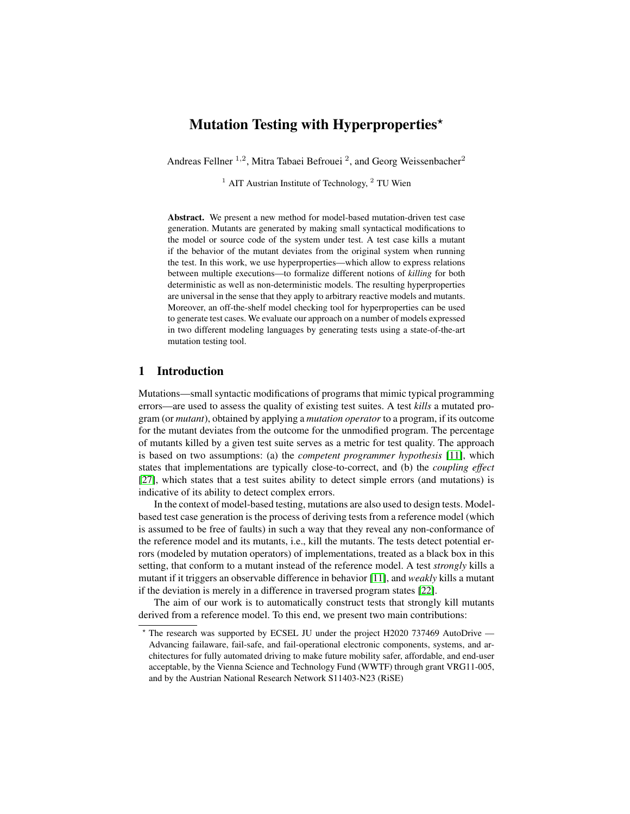# Mutation Testing with Hyperproperties<sup> $\star$ </sup>

Andreas Fellner<sup>1,2</sup>, Mitra Tabaei Befrouei<sup>2</sup>, and Georg Weissenbacher<sup>2</sup>

 $1$  AIT Austrian Institute of Technology,  $2$  TU Wien

Abstract. We present a new method for model-based mutation-driven test case generation. Mutants are generated by making small syntactical modifications to the model or source code of the system under test. A test case kills a mutant if the behavior of the mutant deviates from the original system when running the test. In this work, we use hyperproperties—which allow to express relations between multiple executions—to formalize different notions of *killing* for both deterministic as well as non-deterministic models. The resulting hyperproperties are universal in the sense that they apply to arbitrary reactive models and mutants. Moreover, an off-the-shelf model checking tool for hyperproperties can be used to generate test cases. We evaluate our approach on a number of models expressed in two different modeling languages by generating tests using a state-of-the-art mutation testing tool.

### 1 Introduction

Mutations—small syntactic modifications of programs that mimic typical programming errors—are used to assess the quality of existing test suites. A test *kills* a mutated program (or *mutant*), obtained by applying a *mutation operator* to a program, if its outcome for the mutant deviates from the outcome for the unmodified program. The percentage of mutants killed by a given test suite serves as a metric for test quality. The approach is based on two assumptions: (a) the *competent programmer hypothesis* [\[11\]](#page-16-0), which states that implementations are typically close-to-correct, and (b) the *coupling effect* [\[27\]](#page-17-0), which states that a test suites ability to detect simple errors (and mutations) is indicative of its ability to detect complex errors.

In the context of model-based testing, mutations are also used to design tests. Modelbased test case generation is the process of deriving tests from a reference model (which is assumed to be free of faults) in such a way that they reveal any non-conformance of the reference model and its mutants, i.e., kill the mutants. The tests detect potential errors (modeled by mutation operators) of implementations, treated as a black box in this setting, that conform to a mutant instead of the reference model. A test *strongly* kills a mutant if it triggers an observable difference in behavior [\[11\]](#page-16-0), and *weakly* kills a mutant if the deviation is merely in a difference in traversed program states [\[22\]](#page-17-1).

The aim of our work is to automatically construct tests that strongly kill mutants derived from a reference model. To this end, we present two main contributions:

The research was supported by ECSEL JU under the project H2020 737469 AutoDrive — Advancing failaware, fail-safe, and fail-operational electronic components, systems, and architectures for fully automated driving to make future mobility safer, affordable, and end-user acceptable, by the Vienna Science and Technology Fund (WWTF) through grant VRG11-005, and by the Austrian National Research Network S11403-N23 (RiSE)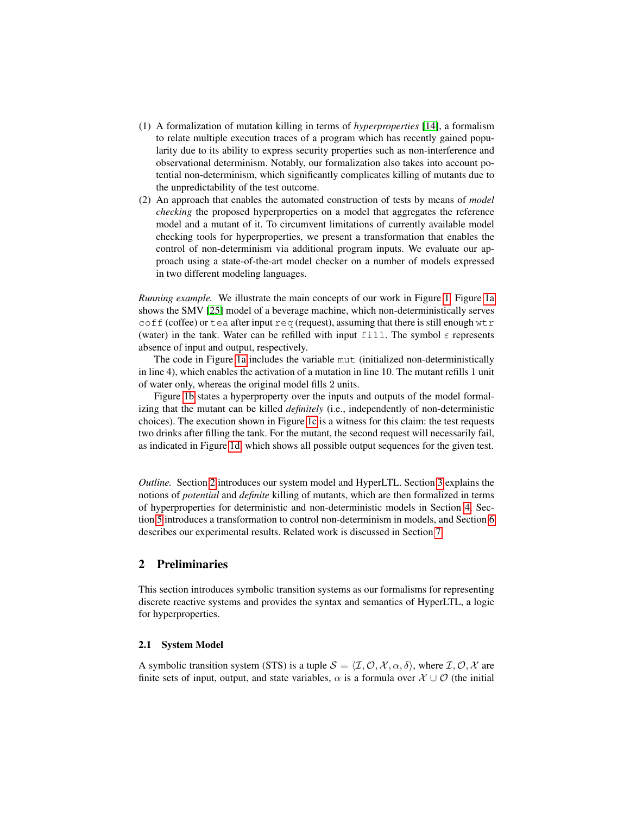- (1) A formalization of mutation killing in terms of *hyperproperties* [\[14\]](#page-16-1), a formalism to relate multiple execution traces of a program which has recently gained popularity due to its ability to express security properties such as non-interference and observational determinism. Notably, our formalization also takes into account potential non-determinism, which significantly complicates killing of mutants due to the unpredictability of the test outcome.
- (2) An approach that enables the automated construction of tests by means of *model checking* the proposed hyperproperties on a model that aggregates the reference model and a mutant of it. To circumvent limitations of currently available model checking tools for hyperproperties, we present a transformation that enables the control of non-determinism via additional program inputs. We evaluate our approach using a state-of-the-art model checker on a number of models expressed in two different modeling languages.

*Running example.* We illustrate the main concepts of our work in Figure [1.](#page-2-0) Figure [1a](#page-2-0) shows the SMV [\[25\]](#page-17-2) model of a beverage machine, which non-deterministically serves coff (coffee) or tea after input req (request), assuming that there is still enough  $wtr$ (water) in the tank. Water can be refilled with input  $\text{fill}$ . The symbol  $\varepsilon$  represents absence of input and output, respectively.

The code in Figure [1a](#page-2-0) includes the variable mut (initialized non-deterministically in line 4), which enables the activation of a mutation in line 10. The mutant refills 1 unit of water only, whereas the original model fills 2 units.

Figure [1b](#page-2-0) states a hyperproperty over the inputs and outputs of the model formalizing that the mutant can be killed *definitely* (i.e., independently of non-deterministic choices). The execution shown in Figure [1c](#page-2-0) is a witness for this claim: the test requests two drinks after filling the tank. For the mutant, the second request will necessarily fail, as indicated in Figure [1d,](#page-2-0) which shows all possible output sequences for the given test.

*Outline.* Section [2](#page-1-0) introduces our system model and HyperLTL. Section [3](#page-4-0) explains the notions of *potential* and *definite* killing of mutants, which are then formalized in terms of hyperproperties for deterministic and non-deterministic models in Section [4.](#page-7-0) Section [5](#page-8-0) introduces a transformation to control non-determinism in models, and Section [6](#page-11-0) describes our experimental results. Related work is discussed in Section [7.](#page-14-0)

### <span id="page-1-0"></span>2 Preliminaries

This section introduces symbolic transition systems as our formalisms for representing discrete reactive systems and provides the syntax and semantics of HyperLTL, a logic for hyperproperties.

#### <span id="page-1-1"></span>2.1 System Model

A symbolic transition system (STS) is a tuple  $S = \langle I, \mathcal{O}, \mathcal{X}, \alpha, \delta \rangle$ , where  $I, \mathcal{O}, \mathcal{X}$  are finite sets of input, output, and state variables,  $\alpha$  is a formula over  $\mathcal{X} \cup \mathcal{O}$  (the initial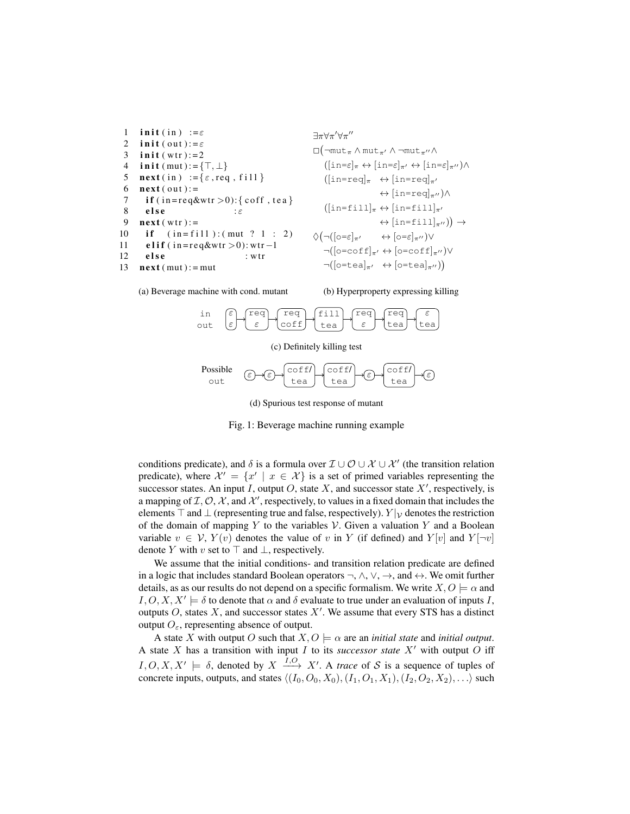```
1 init (in) := \varepsilon2 init (out):=\varepsilon3 init (wtr):=2
 4 init (mut):=\{\top, \bot\}5 \operatorname{next}( \operatorname{in} ) := \{ \varepsilon, \operatorname{req}, \operatorname{fill} \}6 next(out) :=7 if (in = \text{req}\&\text{wtr} > 0): { coff, tea}
 8 else :\varepsilon9 next(wtr) :=10 if (in = fill) : (mut ? 1 : 2)11 elif (in = \text{req}\&\text{wt} = 0): wtr-1
12 else : wtr
13 \mathbf{n} \cdot \mathbf{r} (mut): = mut
```

```
\exists \pi \forall \pi' \forall \pi''\square(\neg \textsf{mut}_{\pi} \wedge \textsf{mut}_{\pi'} \wedge \neg \textsf{mut}_{\pi''} \wedge([in=\varepsilon]_\pi \leftrightarrow [in=\varepsilon]_{\pi'} \leftrightarrow [in=\varepsilon]_{\pi''})\wedge([in=req]_\pi \leftrightarrow [in=req]_\pi\Leftrightarrow [in=req]<sub>π</sub>\ldots)\wedge([in=fill]_\pi \leftrightarrow [in=fill]_\pi\leftrightarrow [in=fill]_{\pi^{\prime\prime}})) \rightarrow♦

¬([o=ε]π0 ↔ [o=ε]π00 )∨
     \neg([o=\text{coff}]_{\pi} \leftrightarrow [o=\text{coff}]_{\pi}<sup>1</sup>
     \neg([o=tea]_{\pi'} \leftrightarrow [o=tea]_{\pi''})
```
(a) Beverage machine with cond. mutant

(b) Hyperproperty expressing killing





(d) Spurious test response of mutant



conditions predicate), and  $\delta$  is a formula over  $\mathcal{I} \cup \mathcal{O} \cup \mathcal{X} \cup \mathcal{X}'$  (the transition relation predicate), where  $\mathcal{X}' = \{x' \mid x \in \mathcal{X}\}\$ is a set of primed variables representing the successor states. An input  $I$ , output  $O$ , state  $X$ , and successor state  $X'$ , respectively, is a mapping of  $\mathcal{I}, \mathcal{O}, \mathcal{X}$ , and  $\mathcal{X}'$ , respectively, to values in a fixed domain that includes the elements  $\top$  and  $\bot$  (representing true and false, respectively).  $Y|_{\mathcal{V}}$  denotes the restriction of the domain of mapping Y to the variables  $V$ . Given a valuation Y and a Boolean variable  $v \in V$ ,  $Y(v)$  denotes the value of v in Y (if defined) and  $Y[v]$  and  $Y[\neg v]$ denote Y with v set to  $\top$  and  $\bot$ , respectively.

We assume that the initial conditions- and transition relation predicate are defined in a logic that includes standard Boolean operators  $\neg, \wedge, \vee, \rightarrow$ , and  $\leftrightarrow$ . We omit further details, as as our results do not depend on a specific formalism. We write  $X, O \models \alpha$  and  $I, O, X, X' \models \delta$  to denote that  $\alpha$  and  $\delta$  evaluate to true under an evaluation of inputs I, outputs  $O$ , states  $X$ , and successor states  $X'$ . We assume that every STS has a distinct output  $O_ε$ , representing absence of output.

A state X with output O such that  $X, O \models \alpha$  are an *initial state* and *initial output*. A state  $X$  has a transition with input  $I$  to its *successor state*  $X'$  with output  $O$  iff  $I, O, X, X' \models \delta$ , denoted by  $X \stackrel{I, O}{\longrightarrow} X'$ . A *trace* of S is a sequence of tuples of concrete inputs, outputs, and states  $\langle (I_0, O_0, X_0), (I_1, O_1, X_1), (I_2, O_2, X_2), \ldots \rangle$  such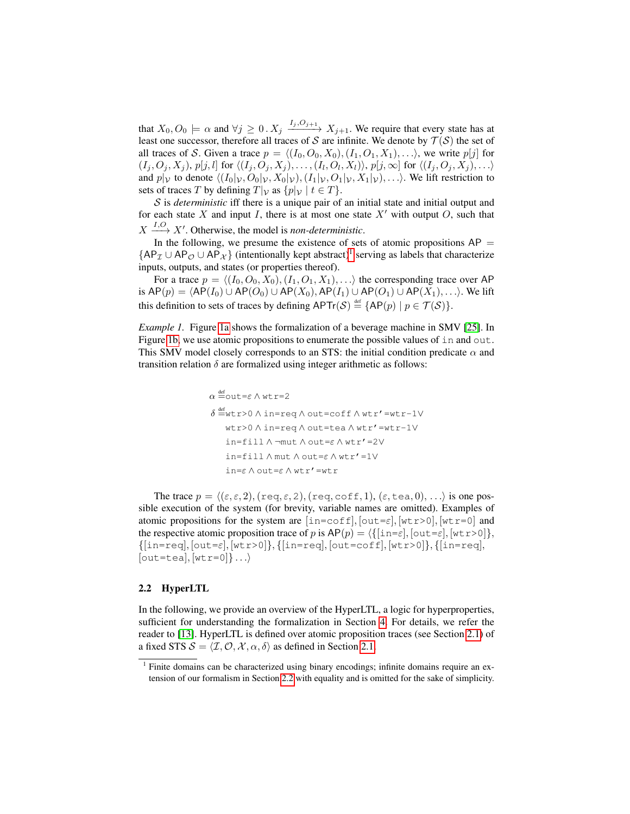that  $X_0, O_0 \models \alpha$  and  $\forall j \geq 0$  .  $X_j \xrightarrow{I_j, O_{j+1}} X_{j+1}$ . We require that every state has at least one successor, therefore all traces of S are infinite. We denote by  $\mathcal{T}(\mathcal{S})$  the set of all traces of S. Given a trace  $p = \langle (I_0, O_0, X_0), (I_1, O_1, X_1), \ldots \rangle$ , we write  $p[j]$  for  $(I_j, O_j, X_j)$ ,  $p[j, l]$  for  $\langle (I_j, O_j, X_j), \ldots, (I_l, O_l, X_l) \rangle$ ,  $p[j, \infty]$  for  $\langle (I_j, O_j, X_j), \ldots \rangle$ and  $p|_V$  to denote  $\langle (I_0|_V, O_0|_V, X_0|_V), (I_1|_V, O_1|_V, X_1|_V), \ldots \rangle$ . We lift restriction to sets of traces T by defining  $T|_{\mathcal{V}}$  as  $\{p|_{\mathcal{V}} \mid t \in T\}$ .

S is *deterministic* iff there is a unique pair of an initial state and initial output and for each state X and input I, there is at most one state  $X'$  with output O, such that  $X \xrightarrow{I,O} X'$ . Otherwise, the model is *non-deterministic*.

In the following, we presume the existence of sets of atomic propositions  $AP =$  ${AP_{\mathcal{I}}} \cup AP_{\mathcal{O}} \cup AP_{\mathcal{X}}$  (intentionally kept abstract)<sup>[1](#page-3-0)</sup> serving as labels that characterize inputs, outputs, and states (or properties thereof).

For a trace  $p = \langle (I_0, O_0, X_0), (I_1, O_1, X_1), \ldots \rangle$  the corresponding trace over AP is  $AP(p) = \langle AP(I_0) \cup AP(O_0) \cup AP(X_0), AP(I_1) \cup AP(O_1) \cup AP(X_1), \ldots \rangle$ . We lift this definition to sets of traces by defining  $APTr(S) \stackrel{\text{def}}{=} \{AP(p) \mid p \in \mathcal{T}(S)\}.$ 

<span id="page-3-2"></span>*Example 1.* Figure [1a](#page-2-0) shows the formalization of a beverage machine in SMV [\[25\]](#page-17-2). In Figure [1b,](#page-2-0) we use atomic propositions to enumerate the possible values of in and out. This SMV model closely corresponds to an STS: the initial condition predicate  $\alpha$  and transition relation  $\delta$  are formalized using integer arithmetic as follows:

$$
\alpha \stackrel{\text{def}}{=} \text{out} = \varepsilon \land \text{wtr} = 2
$$
\n
$$
\delta \stackrel{\text{def}}{=} \text{wtr} > 0 \land \text{in} = \text{req} \land \text{out} = \text{coff} \land \text{wtr}' = \text{wtr} - 1 \lor
$$
\n
$$
\text{wtr} > 0 \land \text{in} = \text{req} \land \text{out} = \text{tea} \land \text{wtr}' = \text{wtr} - 1 \lor
$$
\n
$$
\text{in} = \text{fill} \land \text{mult} \land \text{out} = \varepsilon \land \text{wtr}' = 2 \lor
$$
\n
$$
\text{in} = \text{fill} \land \text{mut} \land \text{out} = \varepsilon \land \text{wtr}' = 1 \lor
$$
\n
$$
\text{in} = \varepsilon \land \text{out} = \varepsilon \land \text{wtr}' = \text{wtr}
$$

The trace  $p = \langle (\varepsilon, \varepsilon, 2), (\text{req}, \varepsilon, 2), (\text{req}, \text{coff}, 1), (\varepsilon, \text{tea}, 0), \ldots \rangle$  is one possible execution of the system (for brevity, variable names are omitted). Examples of atomic propositions for the system are  $[in=\text{coff}, [\text{out}=\varepsilon], [\text{wt}r>0], [\text{wt}r=0]$  and the respective atomic proposition trace of p is  $AP(p) = \{\{\text{sin}=\varepsilon\}, \text{out}=\varepsilon\}, \text{wtr}>0\}$ ,  $\{[in=req], [out=ε], [wtr>0]\}, \{[in=req], [out=coff], [wtr>0]\}, \{[in=req],$  $[out=tea], [wtr=0] \dots$ 

### <span id="page-3-1"></span>2.2 HyperLTL

In the following, we provide an overview of the HyperLTL, a logic for hyperproperties, sufficient for understanding the formalization in Section [4.](#page-7-0) For details, we refer the reader to [\[13\]](#page-16-2). HyperLTL is defined over atomic proposition traces (see Section [2.1\)](#page-1-1) of a fixed STS  $S = \langle \mathcal{I}, \mathcal{O}, \mathcal{X}, \alpha, \delta \rangle$  as defined in Section [2.1.](#page-1-1)

<span id="page-3-0"></span><sup>&</sup>lt;sup>1</sup> Finite domains can be characterized using binary encodings; infinite domains require an extension of our formalism in Section [2.2](#page-3-1) with equality and is omitted for the sake of simplicity.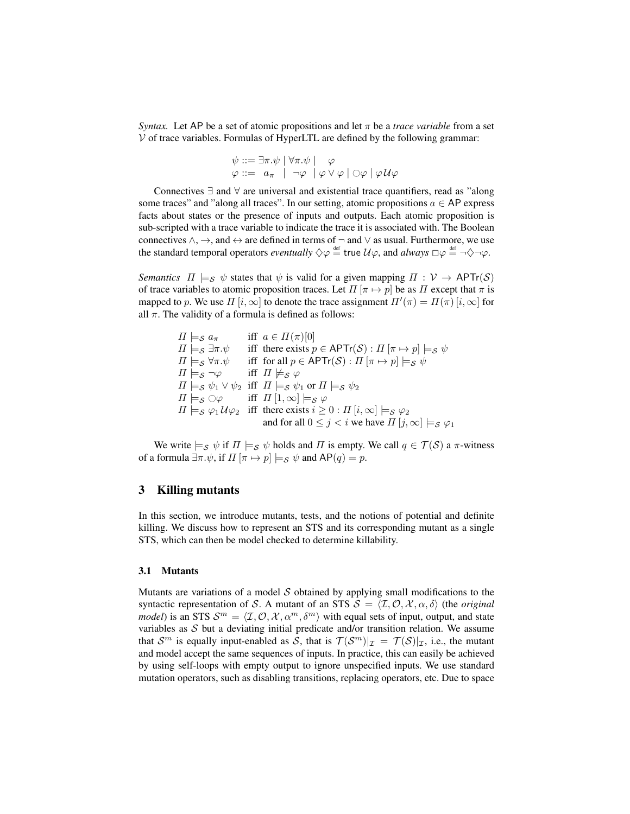*Syntax.* Let AP be a set of atomic propositions and let  $\pi$  be a *trace variable* from a set  $V$  of trace variables. Formulas of HyperLTL are defined by the following grammar:

$$
\psi ::= \exists \pi.\psi \mid \forall \pi.\psi \mid \varphi
$$
  

$$
\varphi ::= a_{\pi} \mid \neg \varphi \mid \varphi \lor \varphi \mid \bigcirc \varphi \mid \varphi \mathcal{U} \varphi
$$

Connectives ∃ and ∀ are universal and existential trace quantifiers, read as "along some traces" and "along all traces". In our setting, atomic propositions  $a \in AP$  express facts about states or the presence of inputs and outputs. Each atomic proposition is sub-scripted with a trace variable to indicate the trace it is associated with. The Boolean connectives  $\land$ ,  $\rightarrow$ , and  $\leftrightarrow$  are defined in terms of  $\neg$  and  $\lor$  as usual. Furthermore, we use the standard temporal operators *eventually*  $\Diamond \varphi \stackrel{\text{def}}{=} \text{true } \mathcal{U} \varphi$ , and *always*  $\Box \varphi \stackrel{\text{def}}{=} \neg \Diamond \neg \varphi$ .

*Semantics*  $\Pi \models_S \psi$  states that  $\psi$  is valid for a given mapping  $\Pi : \mathcal{V} \to \mathsf{APTr}(\mathcal{S})$ of trace variables to atomic proposition traces. Let  $\Pi$   $[\pi \mapsto p]$  be as  $\Pi$  except that  $\pi$  is mapped to p. We use  $\Pi$  [i,  $\infty$ ] to denote the trace assignment  $\Pi'(\pi) = \Pi(\pi)$  [i,  $\infty$ ] for all  $\pi$ . The validity of a formula is defined as follows:

> $\Pi \models_{\mathcal{S}} a_{\pi}$  iff  $a \in \Pi(\pi)[0]$  $\Pi \models_S \exists \pi.\psi$  iff there exists  $p \in \text{APTr}(\mathcal{S}): \Pi \left[ \pi \mapsto p \right] \models_S \psi$  $\Pi \models_{\mathcal{S}} \forall \pi.\psi$  iff for all  $p \in \mathsf{APTr}(\mathcal{S}): \Pi \left[ \pi \mapsto p \right] \models_{\mathcal{S}} \psi$  $\Pi \models_{\mathcal{S}} \neg \varphi$  iff  $\Pi \not\models_{\mathcal{S}} \varphi$  $\Pi \models_{\mathcal{S}} \psi_1 \vee \psi_2$  iff  $\Pi \models_{\mathcal{S}} \psi_1$  or  $\Pi \models_{\mathcal{S}} \psi_2$  $\Pi \models_{\mathcal{S}} \bigcirc \varphi$  iff  $\Pi [1, \infty] \models_{\mathcal{S}} \varphi$  $\Pi \models_{\mathcal{S}} \varphi_1 \mathcal{U} \varphi_2$  iff there exists  $i \geq 0 : \Pi [i, \infty] \models_{\mathcal{S}} \varphi_2$ and for all  $0 \leq j \leq i$  we have  $\Pi$   $[j,\infty] \models_{\mathcal{S}} \varphi_1$

We write  $\models_S \psi$  if  $\Pi \models_S \psi$  holds and  $\Pi$  is empty. We call  $q \in \mathcal{T}(S)$  a  $\pi$ -witness of a formula  $\exists \pi.\psi$ , if  $\Pi$   $[\pi \mapsto p] \models_{\mathcal{S}} \psi$  and  $AP(q) = p$ .

### <span id="page-4-0"></span>3 Killing mutants

In this section, we introduce mutants, tests, and the notions of potential and definite killing. We discuss how to represent an STS and its corresponding mutant as a single STS, which can then be model checked to determine killability.

#### 3.1 Mutants

Mutants are variations of a model  $S$  obtained by applying small modifications to the syntactic representation of S. A mutant of an STS  $S = \langle I, \mathcal{O}, \mathcal{X}, \alpha, \delta \rangle$  (the *original model*) is an STS  $\mathcal{S}^m = \langle \mathcal{I}, \mathcal{O}, \mathcal{X}, \alpha^m, \delta^m \rangle$  with equal sets of input, output, and state variables as  $S$  but a deviating initial predicate and/or transition relation. We assume that  $\mathcal{S}^m$  is equally input-enabled as S, that is  $\mathcal{T}(\mathcal{S}^m)|_{\mathcal{I}} = \mathcal{T}(\mathcal{S})|_{\mathcal{I}}$ , i.e., the mutant and model accept the same sequences of inputs. In practice, this can easily be achieved by using self-loops with empty output to ignore unspecified inputs. We use standard mutation operators, such as disabling transitions, replacing operators, etc. Due to space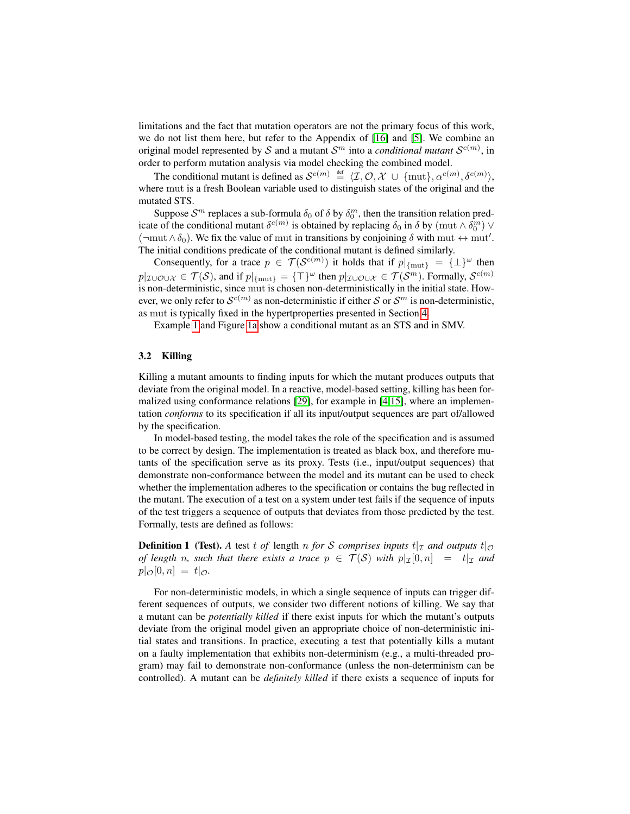limitations and the fact that mutation operators are not the primary focus of this work, we do not list them here, but refer to the Appendix of [\[16\]](#page-16-3) and [\[5\]](#page-16-4). We combine an original model represented by S and a mutant  $S<sup>m</sup>$  into a *conditional mutant*  $S<sup>c(m)</sup>$ , in order to perform mutation analysis via model checking the combined model.

The conditional mutant is defined as  $\mathcal{S}^{c(m)} \stackrel{\text{def}}{=} \langle \mathcal{I}, \mathcal{O}, \mathcal{X} \cup \{\text{mut}\}, \alpha^{c(m)}, \delta^{c(m)} \rangle$ , where mut is a fresh Boolean variable used to distinguish states of the original and the mutated STS.

Suppose  $\mathcal{S}^m$  replaces a sub-formula  $\delta_0$  of  $\delta$  by  $\delta_0^m$ , then the transition relation predicate of the conditional mutant  $\delta^{c(m)}$  is obtained by replacing  $\delta_0$  in  $\delta$  by  $(\text{mut} \wedge \delta_0^m) \vee$ (¬mut  $\wedge \delta_0$ ). We fix the value of mut in transitions by conjoining  $\delta$  with mut  $\leftrightarrow$  mut'. The initial conditions predicate of the conditional mutant is defined similarly.

Consequently, for a trace  $p \in \mathcal{T}(\mathcal{S}^{c(m)})$  it holds that if  $p|_{\{\text{mut}\}} = {\{\perp\}}^\omega$  then  $p|_{\mathcal{I} \cup \mathcal{O} \cup \mathcal{X}} \in \mathcal{T}(\mathcal{S})$ , and if  $p|_{\{\text{mut}\}} = {\{\top\}}^{\omega}$  then  $p|_{\mathcal{I} \cup \mathcal{O} \cup \mathcal{X}} \in \mathcal{T}(\mathcal{S}^m)$ . Formally,  $\mathcal{S}^{c(m)}$ is non-deterministic, since mut is chosen non-deterministically in the initial state. However, we only refer to  $\mathcal{S}^{c(m)}$  as non-deterministic if either  $\mathcal S$  or  $\mathcal S^m$  is non-deterministic, as mut is typically fixed in the hypertproperties presented in Section [4.](#page-7-0)

Example [1](#page-3-2) and Figure [1a](#page-2-0) show a conditional mutant as an STS and in SMV.

#### 3.2 Killing

Killing a mutant amounts to finding inputs for which the mutant produces outputs that deviate from the original model. In a reactive, model-based setting, killing has been formalized using conformance relations [\[29\]](#page-17-3), for example in [\[4](#page-16-5)[,15\]](#page-16-6), where an implementation *conforms* to its specification if all its input/output sequences are part of/allowed by the specification.

In model-based testing, the model takes the role of the specification and is assumed to be correct by design. The implementation is treated as black box, and therefore mutants of the specification serve as its proxy. Tests (i.e., input/output sequences) that demonstrate non-conformance between the model and its mutant can be used to check whether the implementation adheres to the specification or contains the bug reflected in the mutant. The execution of a test on a system under test fails if the sequence of inputs of the test triggers a sequence of outputs that deviates from those predicted by the test. Formally, tests are defined as follows:

**Definition 1** (Test). A test t of length n for S comprises inputs  $t|_{\mathcal{I}}$  and outputs  $t|_{\mathcal{O}}$ *of length n, such that there exists a trace*  $p \in \mathcal{T}(\mathcal{S})$  *with*  $p|_{\mathcal{I}}[0,n] = t|_{\mathcal{I}}$  *and*  $p|_{\mathcal{O}}[0, n] = t|_{\mathcal{O}}.$ 

For non-deterministic models, in which a single sequence of inputs can trigger different sequences of outputs, we consider two different notions of killing. We say that a mutant can be *potentially killed* if there exist inputs for which the mutant's outputs deviate from the original model given an appropriate choice of non-deterministic initial states and transitions. In practice, executing a test that potentially kills a mutant on a faulty implementation that exhibits non-determinism (e.g., a multi-threaded program) may fail to demonstrate non-conformance (unless the non-determinism can be controlled). A mutant can be *definitely killed* if there exists a sequence of inputs for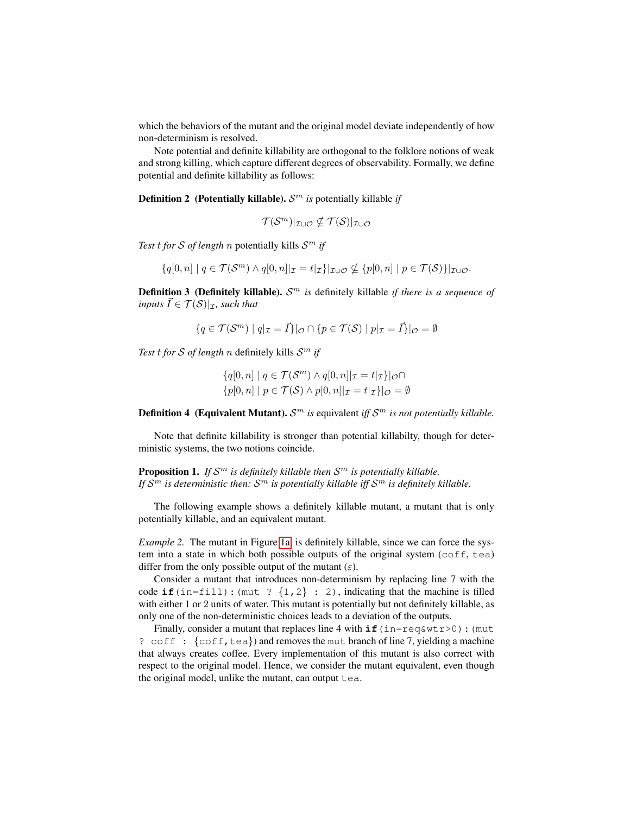which the behaviors of the mutant and the original model deviate independently of how non-determinism is resolved.

Note potential and definite killability are orthogonal to the folklore notions of weak and strong killing, which capture different degrees of observability. Formally, we define potential and definite killability as follows:

Definition 2 (Potentially killable). S <sup>m</sup> *is* potentially killable *if*

$$
\mathcal{T}(\mathcal{S}^m)|_{\mathcal{I}\cup\mathcal{O}}\nsubseteq\mathcal{T}(\mathcal{S})|_{\mathcal{I}\cup\mathcal{O}}
$$

Test t for S of length n potentially kills  $S^m$  if

$$
\{q[0,n] \mid q \in \mathcal{T}(\mathcal{S}^m) \land q[0,n]|_{\mathcal{I}} = t|_{\mathcal{I}}\}_{\mathcal{I} \cup \mathcal{O}} \nsubseteq \{p[0,n] \mid p \in \mathcal{T}(\mathcal{S})\}_{\mathcal{I} \cup \mathcal{O}}.
$$

**Definition 3** (Definitely killable).  $S<sup>m</sup>$  *is* definitely killable *if there is a sequence of inputs*  $\vec{I} \in \mathcal{T}(\mathcal{S})|_{\mathcal{I}}$ *, such that* 

$$
\{q \in \mathcal{T}(\mathcal{S}^m) \mid q|_{\mathcal{I}} = \vec{I}\} |_{\mathcal{O}} \cap \{p \in \mathcal{T}(\mathcal{S}) \mid p|_{\mathcal{I}} = \vec{I}\} |_{\mathcal{O}} = \emptyset
$$

Test *t* for *S* of length *n* definitely kills  $S^m$  if

$$
\{q[0,n] \mid q \in \mathcal{T}(\mathcal{S}^m) \land q[0,n]|_{\mathcal{I}} = t|_{\mathcal{I}}\}|\phi \cap
$$
  

$$
\{p[0,n] \mid p \in \mathcal{T}(\mathcal{S}) \land p[0,n]|_{\mathcal{I}} = t|_{\mathcal{I}}\}|\phi = \emptyset
$$

**Definition 4** (Equivalent Mutant).  $\mathcal{S}^m$  *is* equivalent *iff*  $\mathcal{S}^m$  *is not potentially killable.* 

Note that definite killability is stronger than potential killabilty, though for deterministic systems, the two notions coincide.

**Proposition 1.** If  $\mathcal{S}^m$  is definitely killable then  $\mathcal{S}^m$  is potentially killable. If  $\mathcal{S}^m$  is deterministic then:  $\mathcal{S}^m$  is potentially killable iff  $\mathcal{S}^m$  is definitely killable.

The following example shows a definitely killable mutant, a mutant that is only potentially killable, and an equivalent mutant.

<span id="page-6-0"></span>*Example 2.* The mutant in Figure [1a,](#page-2-0) is definitely killable, since we can force the system into a state in which both possible outputs of the original system (coff, tea) differ from the only possible output of the mutant  $(\varepsilon)$ .

Consider a mutant that introduces non-determinism by replacing line 7 with the code **if**(in=fill):(mut ?  $\{1, 2\}$  : 2), indicating that the machine is filled with either 1 or 2 units of water. This mutant is potentially but not definitely killable, as only one of the non-deterministic choices leads to a deviation of the outputs.

Finally, consider a mutant that replaces line 4 with  $if$  (in=req&wtr>0): (mut ? coff :  $\{\text{coff}, \text{tea}\}\)$  and removes the mut branch of line 7, yielding a machine that always creates coffee. Every implementation of this mutant is also correct with respect to the original model. Hence, we consider the mutant equivalent, even though the original model, unlike the mutant, can output  $tea$ .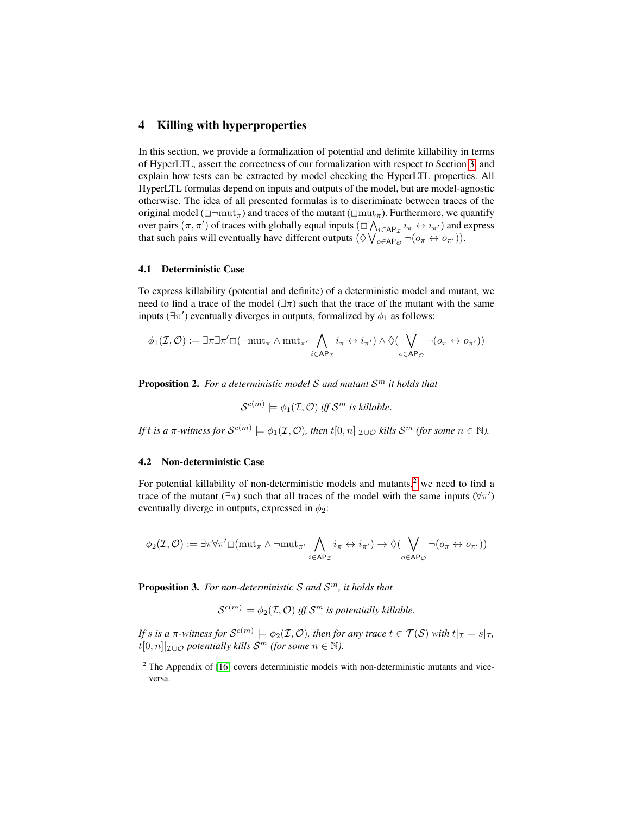### <span id="page-7-0"></span>4 Killing with hyperproperties

In this section, we provide a formalization of potential and definite killability in terms of HyperLTL, assert the correctness of our formalization with respect to Section [3,](#page-4-0) and explain how tests can be extracted by model checking the HyperLTL properties. All HyperLTL formulas depend on inputs and outputs of the model, but are model-agnostic otherwise. The idea of all presented formulas is to discriminate between traces of the original model ( $\Box$  $\neg$ mut<sub>π</sub>) and traces of the mutant ( $\Box$ mut<sub>π</sub>). Furthermore, we quantify over pairs  $(\pi, \pi')$  of traces with globally equal inputs  $(\Box \bigwedge_{i \in \mathsf{AP}_{\mathcal{I}}} i_{\pi} \leftrightarrow i_{\pi'})$  and express that such pairs will eventually have different outputs  $(\Diamond \bigvee_{o \in AP_\mathcal{O}} \neg(o_\pi \leftrightarrow o_{\pi'}))$ .

#### 4.1 Deterministic Case

To express killability (potential and definite) of a deterministic model and mutant, we need to find a trace of the model ( $\exists \pi$ ) such that the trace of the mutant with the same inputs ( $\exists \pi'$ ) eventually diverges in outputs, formalized by  $\phi_1$  as follows:

$$
\phi_1(\mathcal{I}, \mathcal{O}) := \exists \pi \exists \pi' \Box (\neg \text{mut}_{\pi} \land \text{mut}_{\pi'} \bigwedge_{i \in \mathsf{AP}_{\mathcal{I}}} i_{\pi} \leftrightarrow i_{\pi'}) \land \Diamond (\bigvee_{o \in \mathsf{AP}_{\mathcal{O}}} \neg(o_{\pi} \leftrightarrow o_{\pi'}))
$$

Proposition 2. *For a deterministic model* S *and mutant* S <sup>m</sup> *it holds that*

$$
\mathcal{S}^{c(m)} \models \phi_1(\mathcal{I}, \mathcal{O}) \text{ iff } \mathcal{S}^m \text{ is } \text{killable.}
$$

If  $t$  *is a*  $\pi$ -witness for  $\mathcal{S}^{c(m)} \models \phi_1(\mathcal{I}, \mathcal{O})$ , then  $t[0,n]|_{\mathcal{I} \cup \mathcal{O}}$  kills  $\mathcal{S}^m$  (for some  $n \in \mathbb{N}$ ).

### 4.2 Non-deterministic Case

For potential killability of non-deterministic models and mutants, $2$  we need to find a trace of the mutant  $(\exists \pi)$  such that all traces of the model with the same inputs  $(\forall \pi')$ eventually diverge in outputs, expressed in  $\phi_2$ :

$$
\phi_2(\mathcal{I},\mathcal{O}):=\exists\pi\forall\pi'\Box(\mathrm{mut}_{\pi}\wedge\neg\mathrm{mut}_{\pi'}\bigwedge_{i\in\mathsf{AP}_{\mathcal{I}}}i_{\pi}\leftrightarrow i_{\pi'})\to\Diamond(\bigvee_{o\in\mathsf{AP}_{\mathcal{O}}}\neg(o_{\pi}\leftrightarrow o_{\pi'}))
$$

Proposition 3. *For non-deterministic* S *and* S <sup>m</sup>*, it holds that*

$$
\mathcal{S}^{c(m)} \models \phi_2(\mathcal{I}, \mathcal{O}) \text{ iff } \mathcal{S}^m \text{ is potentially killable.}
$$

*If s is a*  $\pi$ *-witness for*  $\mathcal{S}^{c(m)} \models \phi_2(\mathcal{I}, \mathcal{O})$ , then for any trace  $t \in \mathcal{T}(\mathcal{S})$  with  $t|_{\mathcal{I}} = s|_{\mathcal{I}},$  $[t[0,n]|_{\mathcal{I}\cup\mathcal{O}}$  potentially kills  $\mathcal{S}^m$  (for some  $n\in\mathbb{N}$ ).

<span id="page-7-1"></span> $2$  The Appendix of [\[16\]](#page-16-3) covers deterministic models with non-deterministic mutants and viceversa.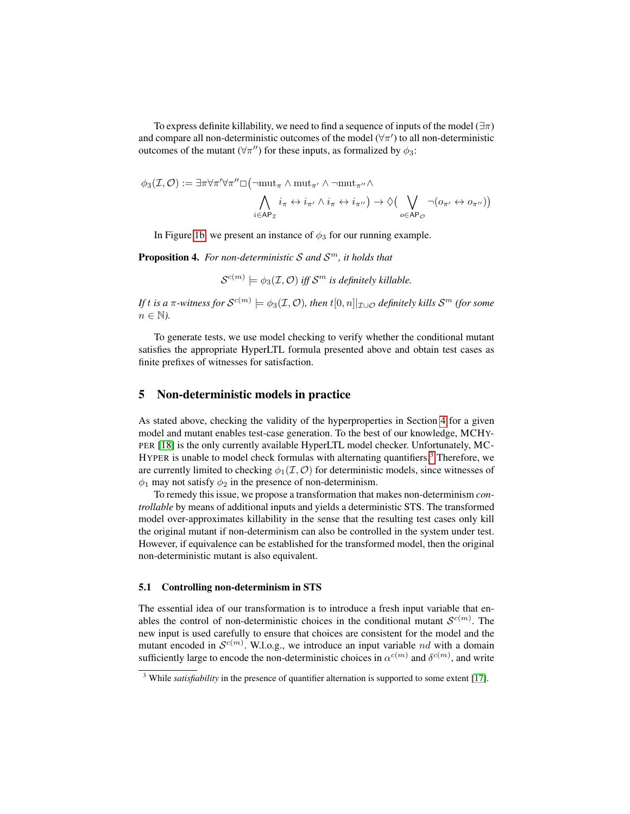To express definite killability, we need to find a sequence of inputs of the model ( $\exists \pi$ ) and compare all non-deterministic outcomes of the model  $(\forall \pi')$  to all non-deterministic outcomes of the mutant ( $\forall \pi''$ ) for these inputs, as formalized by  $\phi_3$ :

$$
\phi_3(\mathcal{I}, \mathcal{O}) := \exists \pi \forall \pi' \forall \pi'' \Box \left(\neg \text{mut}_{\pi} \land \text{mut}_{\pi'} \land \neg \text{mut}_{\pi''} \land \right. \\
\bigwedge_{i \in \mathsf{AP}_{\mathcal{I}}} i_{\pi} \leftrightarrow i_{\pi'} \land i_{\pi} \leftrightarrow i_{\pi''}\right) \rightarrow \Diamond \left(\bigvee_{o \in \mathsf{AP}_{\mathcal{O}}} \neg(o_{\pi'} \leftrightarrow o_{\pi''})\right)
$$

In Figure [1b,](#page-2-0) we present an instance of  $\phi_3$  for our running example.

Proposition 4. *For non-deterministic* S *and* S <sup>m</sup>*, it holds that*

$$
\mathcal{S}^{c(m)} \models \phi_3(\mathcal{I}, \mathcal{O}) \text{ iff } \mathcal{S}^m \text{ is definitely killed} \text{.}
$$

If  $t$  *is a*  $\pi$ *-witness for*  ${\cal S}^{c(m)}\models \phi_3({\cal I},{\cal O}),$  then  $t[0,n]|_{{\cal I}\cup {\cal O}}$  definitely kills  ${\cal S}^m$  (for some  $n \in \mathbb{N}$ ).

To generate tests, we use model checking to verify whether the conditional mutant satisfies the appropriate HyperLTL formula presented above and obtain test cases as finite prefixes of witnesses for satisfaction.

### <span id="page-8-0"></span>5 Non-deterministic models in practice

As stated above, checking the validity of the hyperproperties in Section [4](#page-7-0) for a given model and mutant enables test-case generation. To the best of our knowledge, MCHY-PER [\[18\]](#page-17-4) is the only currently available HyperLTL model checker. Unfortunately, MC-HYPER is unable to model check formulas with alternating quantifiers.<sup>[3](#page-8-1)</sup> Therefore, we are currently limited to checking  $\phi_1(\mathcal{I}, \mathcal{O})$  for deterministic models, since witnesses of  $\phi_1$  may not satisfy  $\phi_2$  in the presence of non-determinism.

To remedy this issue, we propose a transformation that makes non-determinism *controllable* by means of additional inputs and yields a deterministic STS. The transformed model over-approximates killability in the sense that the resulting test cases only kill the original mutant if non-determinism can also be controlled in the system under test. However, if equivalence can be established for the transformed model, then the original non-deterministic mutant is also equivalent.

#### <span id="page-8-2"></span>5.1 Controlling non-determinism in STS

The essential idea of our transformation is to introduce a fresh input variable that enables the control of non-deterministic choices in the conditional mutant  $\mathcal{S}^{c(m)}$ . The new input is used carefully to ensure that choices are consistent for the model and the mutant encoded in  $\mathcal{S}^{c(m)}$ . W.l.o.g., we introduce an input variable nd with a domain sufficiently large to encode the non-deterministic choices in  $\alpha^{c(m)}$  and  $\delta^{c(m)}$ , and write

<span id="page-8-1"></span><sup>&</sup>lt;sup>3</sup> While *satisfiability* in the presence of quantifier alternation is supported to some extent [\[17\]](#page-16-7).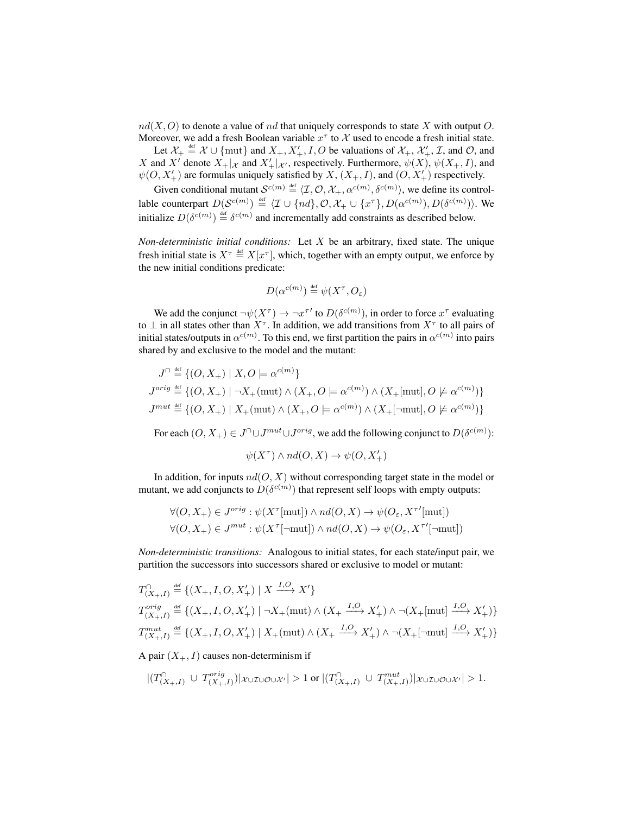$nd(X, O)$  to denote a value of nd that uniquely corresponds to state X with output O. Moreover, we add a fresh Boolean variable  $x^{\tau}$  to X used to encode a fresh initial state.

Let  $\mathcal{X}_+ \stackrel{\text{def}}{=} \mathcal{X} \cup \{\text{mut}\}\$ and  $X_+, X'_+, I, O$  be valuations of  $\mathcal{X}_+, \mathcal{X}'_+, \mathcal{I}$ , and  $O$ , and X and X' denote  $X_+|_{\mathcal{X}}$  and  $X'_+|_{\mathcal{X}}$ , respectively. Furthermore,  $\psi(X)$ ,  $\psi(X_+, I)$ , and  $\psi(O,X_+')$  are formulas uniquely satisfied by  $X$ ,  $(X_+, I)$ , and  $(O, X_+')$  respectively.

Given conditional mutant  $\mathcal{S}^{c(m)} \stackrel{\text{def}}{=} \langle \mathcal{I}, \mathcal{O}, \mathcal{X}_+, \alpha^{c(m)}, \delta^{c(m)} \rangle$ , we define its controllable counterpart  $D(S^{c(m)}) \stackrel{\text{def}}{=} \langle \mathcal{I} \cup \{nd\}, \mathcal{O}, \mathcal{X}_+ \cup \{x^{\tau}\}, D(\alpha^{c(m)}), D(\delta^{c(m)}), \mathcal{N}\}$ initialize  $D(\delta^{c(m)}) \stackrel{\text{def}}{=} \delta^{c(m)}$  and incrementally add constraints as described below.

*Non-deterministic initial conditions:* Let X be an arbitrary, fixed state. The unique fresh initial state is  $X^{\tau} \stackrel{\text{def}}{=} X[x^{\tau}]$ , which, together with an empty output, we enforce by the new initial conditions predicate:

$$
D(\alpha^{c(m)}) \stackrel{\text{\tiny def}}{=} \psi(X^{\tau}, O_{\varepsilon})
$$

We add the conjunct  $\neg \psi(X^{\tau}) \rightarrow \neg x^{\tau'}$  to  $D(\delta^{c(m)})$ , in order to force  $x^{\tau}$  evaluating to  $\perp$  in all states other than  $X^{\tau}$ . In addition, we add transitions from  $X^{\tau}$  to all pairs of initial states/outputs in  $\alpha^{c(m)}$ . To this end, we first partition the pairs in  $\alpha^{c(m)}$  into pairs shared by and exclusive to the model and the mutant:

$$
J^{\cap} \stackrel{\text{def}}{=} \{ (O, X_+) \mid X, O \models \alpha^{c(m)} \}
$$
  

$$
J^{orig} \stackrel{\text{def}}{=} \{ (O, X_+) \mid \neg X_+ (\text{mut}) \land (X_+, O \models \alpha^{c(m)}) \land (X_+ [\text{mut}], O \not\models \alpha^{c(m)}) \}
$$
  

$$
J^{mut} \stackrel{\text{def}}{=} \{ (O, X_+) \mid X_+ (\text{mut}) \land (X_+, O \models \alpha^{c(m)}) \land (X_+ [\neg \text{mut}], O \not\models \alpha^{c(m)}) \}
$$

For each  $(O, X_+) \in J \cap \cup J^{mut} \cup J^{orig}$ , we add the following conjunct to  $D(\delta^{c(m)})$ :

$$
\psi(X^\tau) \wedge nd(O,X) \to \psi(O,X_+')
$$

In addition, for inputs  $nd(O, X)$  without corresponding target state in the model or mutant, we add conjuncts to  $D(\delta^{c(m)})$  that represent self loops with empty outputs:

$$
\forall (O, X_+) \in J^{orig} : \psi(X^{\tau}[\text{mut}]) \land nd(O, X) \to \psi(O_{\varepsilon}, X^{\tau'}[\text{mut}])
$$
  

$$
\forall (O, X_+) \in J^{mut} : \psi(X^{\tau}[\neg \text{mut}]) \land nd(O, X) \to \psi(O_{\varepsilon}, X^{\tau'}[\neg \text{mut}])
$$

*Non-deterministic transitions:* Analogous to initial states, for each state/input pair, we partition the successors into successors shared or exclusive to model or mutant:

$$
T_{(X_+,I)}^{\cap} \stackrel{\text{def}}{=} \{ (X_+,I,O,X_+') \mid X \xrightarrow{I,O} X' \}
$$
  
\n
$$
T_{(X_+,I)}^{\text{orig}} \stackrel{\text{def}}{=} \{ (X_+,I,O,X_+') \mid \neg X_+(\text{mut}) \land (X_+ \xrightarrow{I,O} X_+') \land \neg (X_+[\text{mut}] \xrightarrow{I,O} X_+') \}
$$
  
\n
$$
T_{(X_+,I)}^{\text{mut}} \stackrel{\text{def}}{=} \{ (X_+,I,O,X_+') \mid X_+(\text{mut}) \land (X_+ \xrightarrow{I,O} X_+') \land \neg (X_+[\neg \text{mut}] \xrightarrow{I,O} X_+') \}
$$

A pair  $(X_+, I)$  causes non-determinism if

$$
|(T_{(X_+,I)}^{\cap}\;\cup\;T_{(X_+,I)}^{orig})|_{\mathcal{X}\cup\mathcal{I}\cup\mathcal{O}\cup\mathcal{X}'}|>1\;\text{or}\;|(T_{(X_+,I)}^{\cap}\;\cup\;T_{(X_+,I)}^{mut})|_{\mathcal{X}\cup\mathcal{I}\cup\mathcal{O}\cup\mathcal{X}'}|>1.
$$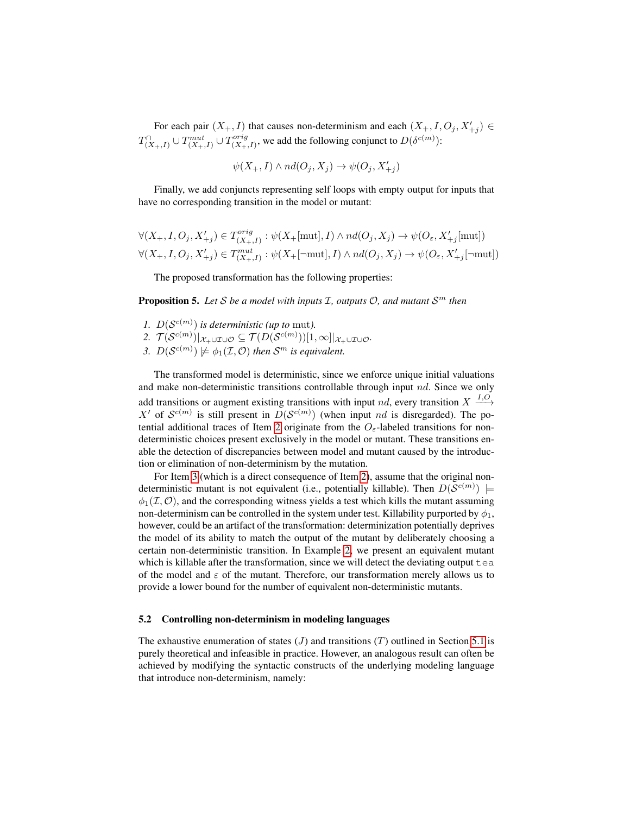For each pair  $(X_+, I)$  that causes non-determinism and each  $(X_+, I, O_j, X'_{+j}) \in$  $T^{\cap}_{(X_+,I)} \cup T^{mut}_{(X_+,I)} \cup T^{orig}_{(X_+)}$  $C^{orig}_{(X_+,I)}$ , we add the following conjunct to  $D(\delta^{c(m)})$ :

$$
\psi(X_+,I) \wedge nd(O_j,X_j) \to \psi(O_j,X_{+j}')
$$

Finally, we add conjuncts representing self loops with empty output for inputs that have no corresponding transition in the model or mutant:

$$
\forall (X_+, I, O_j, X'_{+j}) \in T_{(X_+, I)}^{orig}: \psi(X_+[{\rm mut}], I) \wedge nd(O_j, X_j) \to \psi(O_{\varepsilon}, X'_{+j}[{\rm mut}])
$$
  

$$
\forall (X_+, I, O_j, X'_{+j}) \in T_{(X_+, I)}^{mut}: \psi(X_+[\neg {\rm mut}], I) \wedge nd(O_j, X_j) \to \psi(O_{\varepsilon}, X'_{+j}[\neg {\rm mut}])
$$

The proposed transformation has the following properties:

**Proposition 5.** Let S be a model with inputs  $I$ , outputs  $O$ , and mutant  $S<sup>m</sup>$  then

- *1.*  $D(S^{c(m)})$  *is deterministic (up to mut).*
- <span id="page-10-0"></span>2.  $\mathcal{T}(\mathcal{S}^{c(m)})|_{\mathcal{X}_{+} \cup \mathcal{I} \cup \mathcal{O}} \subseteq \mathcal{T}(D(\mathcal{S}^{c(m)}))[1,\infty]|_{\mathcal{X}_{+} \cup \mathcal{I} \cup \mathcal{O}}.$
- <span id="page-10-1"></span>3.  $D(\mathcal{S}^{c(m)}) \not\models \phi_1(\mathcal{I}, \mathcal{O})$  then  $\mathcal{S}^m$  is equivalent.

The transformed model is deterministic, since we enforce unique initial valuations and make non-deterministic transitions controllable through input nd. Since we only add transitions or augment existing transitions with input nd, every transition  $X \xrightarrow{I,O}$ X' of  $\mathcal{S}^{c(m)}$  is still present in  $D(\mathcal{S}^{c(m)})$  (when input nd is disregarded). The po-tential additional traces of Item [2](#page-10-0) originate from the  $O_{\varepsilon}$ -labeled transitions for nondeterministic choices present exclusively in the model or mutant. These transitions enable the detection of discrepancies between model and mutant caused by the introduction or elimination of non-determinism by the mutation.

For Item [3](#page-10-1) (which is a direct consequence of Item [2\)](#page-10-0), assume that the original nondeterministic mutant is not equivalent (i.e., potentially killable). Then  $D(S^{c(m)})$   $\models$  $\phi_1(\mathcal{I}, \mathcal{O})$ , and the corresponding witness yields a test which kills the mutant assuming non-determinism can be controlled in the system under test. Killability purported by  $\phi_1$ , however, could be an artifact of the transformation: determinization potentially deprives the model of its ability to match the output of the mutant by deliberately choosing a certain non-deterministic transition. In Example [2,](#page-6-0) we present an equivalent mutant which is killable after the transformation, since we will detect the deviating output tea of the model and  $\varepsilon$  of the mutant. Therefore, our transformation merely allows us to provide a lower bound for the number of equivalent non-deterministic mutants.

#### 5.2 Controlling non-determinism in modeling languages

The exhaustive enumeration of states  $(J)$  and transitions  $(T)$  outlined in Section [5.1](#page-8-2) is purely theoretical and infeasible in practice. However, an analogous result can often be achieved by modifying the syntactic constructs of the underlying modeling language that introduce non-determinism, namely: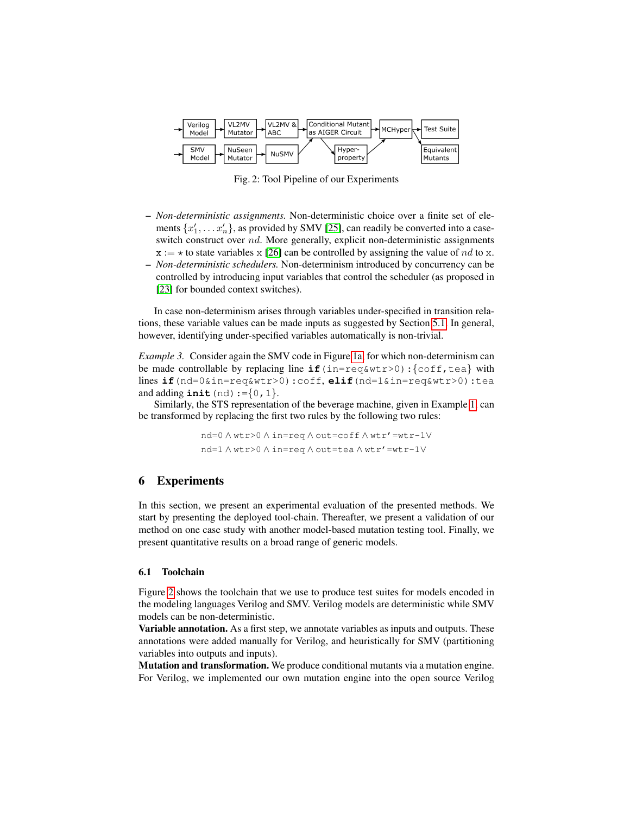<span id="page-11-1"></span>

Fig. 2: Tool Pipeline of our Experiments

- *Non-deterministic assignments.* Non-deterministic choice over a finite set of elements  $\{x'_1, \ldots, x'_n\}$ , as provided by SMV [\[25\]](#page-17-2), can readily be converted into a caseswitch construct over nd. More generally, explicit non-deterministic assignments  $x := \star$  to state variables  $x$  [\[26\]](#page-17-5) can be controlled by assigning the value of nd to x.
- *Non-deterministic schedulers.* Non-determinism introduced by concurrency can be controlled by introducing input variables that control the scheduler (as proposed in [\[23\]](#page-17-6) for bounded context switches).

In case non-determinism arises through variables under-specified in transition relations, these variable values can be made inputs as suggested by Section [5.1.](#page-8-2) In general, however, identifying under-specified variables automatically is non-trivial.

*Example 3.* Consider again the SMV code in Figure [1a,](#page-2-0) for which non-determinism can be made controllable by replacing line  $if$  (in=req&wtr>0): {coff, tea} with lines **if**(nd=0&in=req&wtr>0):coff, **elif**(nd=1&in=req&wtr>0):tea and adding  $\text{init}(nd) := \{0, 1\}.$ 

Similarly, the STS representation of the beverage machine, given in Example [1,](#page-3-2) can be transformed by replacing the first two rules by the following two rules:

> nd=0 ∧ wtr>0 ∧ in=req ∧ out=coff ∧ wtr'=wtr-1∨ nd=1 ∧ wtr>0 ∧ in=req ∧ out=tea ∧ wtr'=wtr-1∨

### <span id="page-11-0"></span>6 Experiments

In this section, we present an experimental evaluation of the presented methods. We start by presenting the deployed tool-chain. Thereafter, we present a validation of our method on one case study with another model-based mutation testing tool. Finally, we present quantitative results on a broad range of generic models.

#### 6.1 Toolchain

Figure [2](#page-11-1) shows the toolchain that we use to produce test suites for models encoded in the modeling languages Verilog and SMV. Verilog models are deterministic while SMV models can be non-deterministic.

Variable annotation. As a first step, we annotate variables as inputs and outputs. These annotations were added manually for Verilog, and heuristically for SMV (partitioning variables into outputs and inputs).

Mutation and transformation. We produce conditional mutants via a mutation engine. For Verilog, we implemented our own mutation engine into the open source Verilog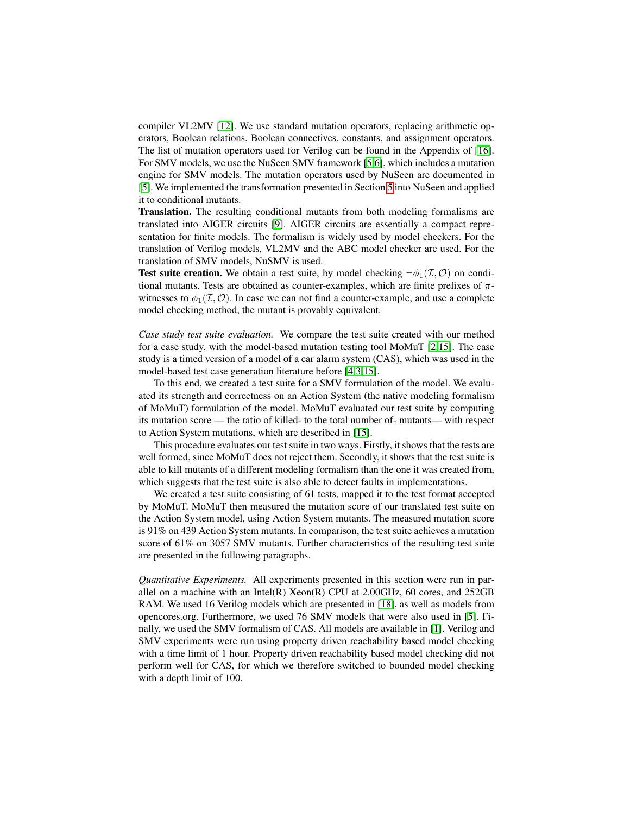compiler VL2MV [\[12\]](#page-16-8). We use standard mutation operators, replacing arithmetic operators, Boolean relations, Boolean connectives, constants, and assignment operators. The list of mutation operators used for Verilog can be found in the Appendix of [\[16\]](#page-16-3). For SMV models, we use the NuSeen SMV framework [\[5,](#page-16-4)[6\]](#page-16-9), which includes a mutation engine for SMV models. The mutation operators used by NuSeen are documented in [\[5\]](#page-16-4). We implemented the transformation presented in Section [5](#page-8-0) into NuSeen and applied it to conditional mutants.

Translation. The resulting conditional mutants from both modeling formalisms are translated into AIGER circuits [\[9\]](#page-16-10). AIGER circuits are essentially a compact representation for finite models. The formalism is widely used by model checkers. For the translation of Verilog models, VL2MV and the ABC model checker are used. For the translation of SMV models, NuSMV is used.

**Test suite creation.** We obtain a test suite, by model checking  $\neg \phi_1(\mathcal{I}, \mathcal{O})$  on conditional mutants. Tests are obtained as counter-examples, which are finite prefixes of  $\pi$ witnesses to  $\phi_1(\mathcal{I}, \mathcal{O})$ . In case we can not find a counter-example, and use a complete model checking method, the mutant is provably equivalent.

*Case study test suite evaluation.* We compare the test suite created with our method for a case study, with the model-based mutation testing tool MoMuT [\[2](#page-16-11)[,15\]](#page-16-6). The case study is a timed version of a model of a car alarm system (CAS), which was used in the model-based test case generation literature before [\[4](#page-16-5)[,3](#page-16-12)[,15\]](#page-16-6).

To this end, we created a test suite for a SMV formulation of the model. We evaluated its strength and correctness on an Action System (the native modeling formalism of MoMuT) formulation of the model. MoMuT evaluated our test suite by computing its mutation score — the ratio of killed- to the total number of- mutants— with respect to Action System mutations, which are described in [\[15\]](#page-16-6).

This procedure evaluates our test suite in two ways. Firstly, it shows that the tests are well formed, since MoMuT does not reject them. Secondly, it shows that the test suite is able to kill mutants of a different modeling formalism than the one it was created from, which suggests that the test suite is also able to detect faults in implementations.

We created a test suite consisting of 61 tests, mapped it to the test format accepted by MoMuT. MoMuT then measured the mutation score of our translated test suite on the Action System model, using Action System mutants. The measured mutation score is 91% on 439 Action System mutants. In comparison, the test suite achieves a mutation score of 61% on 3057 SMV mutants. Further characteristics of the resulting test suite are presented in the following paragraphs.

*Quantitative Experiments.* All experiments presented in this section were run in parallel on a machine with an Intel(R) Xeon(R) CPU at 2.00GHz, 60 cores, and 252GB RAM. We used 16 Verilog models which are presented in [\[18\]](#page-17-4), as well as models from opencores.org. Furthermore, we used 76 SMV models that were also used in [\[5\]](#page-16-4). Finally, we used the SMV formalism of CAS. All models are available in [\[1\]](#page-16-13). Verilog and SMV experiments were run using property driven reachability based model checking with a time limit of 1 hour. Property driven reachability based model checking did not perform well for CAS, for which we therefore switched to bounded model checking with a depth limit of 100.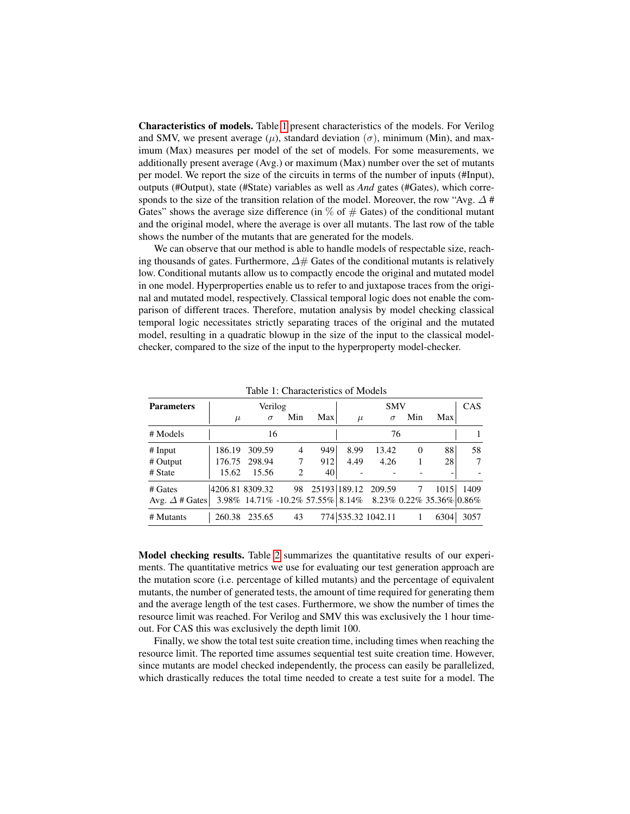Characteristics of models. Table [1](#page-13-0) present characteristics of the models. For Verilog and SMV, we present average ( $\mu$ ), standard deviation ( $\sigma$ ), minimum (Min), and maximum (Max) measures per model of the set of models. For some measurements, we additionally present average (Avg.) or maximum (Max) number over the set of mutants per model. We report the size of the circuits in terms of the number of inputs (#Input), outputs (#Output), state (#State) variables as well as *And* gates (#Gates), which corresponds to the size of the transition relation of the model. Moreover, the row "Avg.  $\Delta$  # Gates" shows the average size difference (in  $\%$  of  $\#$  Gates) of the conditional mutant and the original model, where the average is over all mutants. The last row of the table shows the number of the mutants that are generated for the models.

We can observe that our method is able to handle models of respectable size, reaching thousands of gates. Furthermore,  $\Delta \#$  Gates of the conditional mutants is relatively low. Conditional mutants allow us to compactly encode the original and mutated model in one model. Hyperproperties enable us to refer to and juxtapose traces from the original and mutated model, respectively. Classical temporal logic does not enable the comparison of different traces. Therefore, mutation analysis by model checking classical temporal logic necessitates strictly separating traces of the original and the mutated model, resulting in a quadratic blowup in the size of the input to the classical modelchecker, compared to the size of the input to the hyperproperty model-checker.

<span id="page-13-0"></span>

| <b>Parameters</b>     | Verilog |                                                              |                |     |       | CAS                 |          |      |      |  |  |
|-----------------------|---------|--------------------------------------------------------------|----------------|-----|-------|---------------------|----------|------|------|--|--|
|                       | $\mu$   | $\sigma$                                                     | Min            | Max | $\mu$ | $\sigma$            | Min      | Max  |      |  |  |
| # Models              |         | 16                                                           |                |     |       | 76                  |          |      |      |  |  |
| # Input               | 186.19  | 309.59                                                       | 4              | 949 | 8.99  | 13.42               | $\Omega$ | 88   | 58   |  |  |
| # Output              | 176.75  | 298.94                                                       | 7              | 912 | 4.49  | 4.26                |          | 28   |      |  |  |
| # State               | 15.62   | 15.56                                                        | $\overline{2}$ | 40  |       |                     |          |      |      |  |  |
| # Gates               |         | 4206.81 8309.32                                              | 98             |     |       | 25193 189.12 209.59 | 7        | 1015 | 1409 |  |  |
| Avg. $\Delta$ # Gates |         | $3.98\%$ 14.71% -10.2% 57.55% 8.14% 8.23% 0.22% 35.36% 0.86% |                |     |       |                     |          |      |      |  |  |
| # Mutants             | 260.38  | 235.65                                                       | 43             |     |       | 774 535.32 1042.11  |          | 6304 | 3057 |  |  |

Table 1: Characteristics of Models

Model checking results. Table [2](#page-14-1) summarizes the quantitative results of our experiments. The quantitative metrics we use for evaluating our test generation approach are the mutation score (i.e. percentage of killed mutants) and the percentage of equivalent mutants, the number of generated tests, the amount of time required for generating them and the average length of the test cases. Furthermore, we show the number of times the resource limit was reached. For Verilog and SMV this was exclusively the 1 hour timeout. For CAS this was exclusively the depth limit 100.

Finally, we show the total test suite creation time, including times when reaching the resource limit. The reported time assumes sequential test suite creation time. However, since mutants are model checked independently, the process can easily be parallelized, which drastically reduces the total time needed to create a test suite for a model. The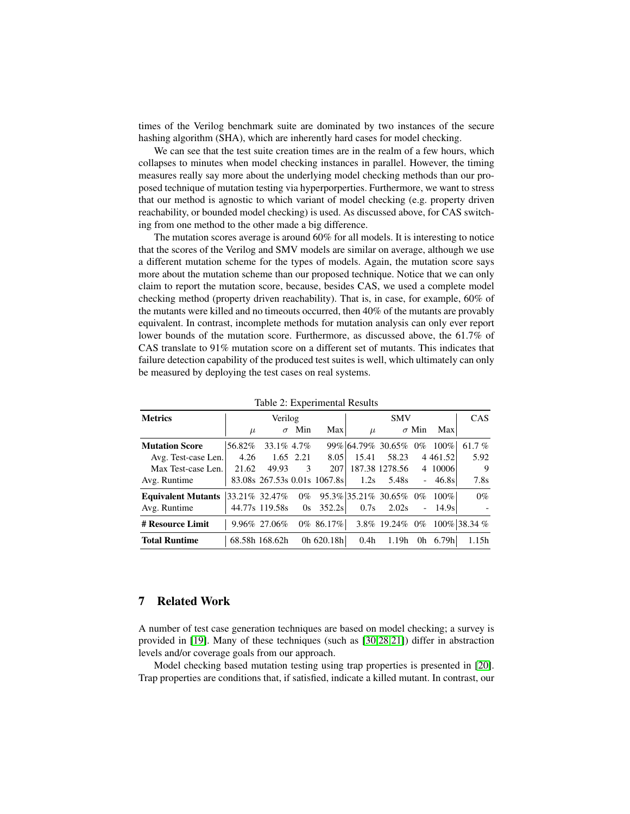times of the Verilog benchmark suite are dominated by two instances of the secure hashing algorithm (SHA), which are inherently hard cases for model checking.

We can see that the test suite creation times are in the realm of a few hours, which collapses to minutes when model checking instances in parallel. However, the timing measures really say more about the underlying model checking methods than our proposed technique of mutation testing via hyperporperties. Furthermore, we want to stress that our method is agnostic to which variant of model checking (e.g. property driven reachability, or bounded model checking) is used. As discussed above, for CAS switching from one method to the other made a big difference.

The mutation scores average is around 60% for all models. It is interesting to notice that the scores of the Verilog and SMV models are similar on average, although we use a different mutation scheme for the types of models. Again, the mutation score says more about the mutation scheme than our proposed technique. Notice that we can only claim to report the mutation score, because, besides CAS, we used a complete model checking method (property driven reachability). That is, in case, for example, 60% of the mutants were killed and no timeouts occurred, then 40% of the mutants are provably equivalent. In contrast, incomplete methods for mutation analysis can only ever report lower bounds of the mutation score. Furthermore, as discussed above, the 61.7% of CAS translate to 91% mutation score on a different set of mutants. This indicates that failure detection capability of the produced test suites is well, which ultimately can only be measured by deploying the test cases on real systems.

<span id="page-14-1"></span>

| <b>Metrics</b>            | Verilog         |                              |           |                  | <b>SMV</b>             |                   |              |              | CAS                              |
|---------------------------|-----------------|------------------------------|-----------|------------------|------------------------|-------------------|--------------|--------------|----------------------------------|
|                           | $\mu$           | $\sigma$                     | Min       | Max <sup>1</sup> | $\mu$                  |                   | $\sigma$ Min | Max          |                                  |
| <b>Mutation Score</b>     | 56.82%          | 33.1\% 4.7\%                 |           |                  | 99% 64.79% 30.65% 0%   |                   |              | $100\%$      | 61.7%                            |
| Avg. Test-case Len.       | 4.26            |                              | 1.65 2.21 | 8.05             | 15.41                  | 58.23             |              | 4 4 6 1 .5 2 | 5.92                             |
| Max Test-case Len.        | 21.62           | 49.93                        | 3         | 207              |                        | 187.38 1278.56    |              | 4 10006      | 9                                |
| Avg. Runtime              |                 | 83.08s 267.53s 0.01s 1067.8s |           |                  | 1.2s                   | 5.48s             | $\sim$       | 46.8s        | 7.8s                             |
| <b>Equivalent Mutants</b> | 33.21\% 32.47\% |                              | $0\%$     |                  | 95.3% 35.21% 30.65% 0% |                   |              | $100\%$      | $0\%$                            |
| Avg. Runtime              |                 | 44.77s 119.58s               | 0s        | 352.2s           | 0.7s                   | 2.02s             |              | $-14.9s$     |                                  |
| # Resource Limit          |                 | 9.96% 27.06%                 |           | $0\%$ 86.17%     |                        |                   |              |              | 3.8\% 19.24\% 0\% 100\% 18.34 \% |
| <b>Total Runtime</b>      |                 | 68.58h 168.62h               |           | 0h $620.18h$     | 0.4 <sub>h</sub>       | 1.19 <sub>h</sub> | 0h           | 6.79h        | 1.15h                            |

Table 2: Experimental Results

## <span id="page-14-0"></span>7 Related Work

A number of test case generation techniques are based on model checking; a survey is provided in [\[19\]](#page-17-7). Many of these techniques (such as [\[30](#page-17-8)[,28](#page-17-9)[,21\]](#page-17-10)) differ in abstraction levels and/or coverage goals from our approach.

Model checking based mutation testing using trap properties is presented in [\[20\]](#page-17-11). Trap properties are conditions that, if satisfied, indicate a killed mutant. In contrast, our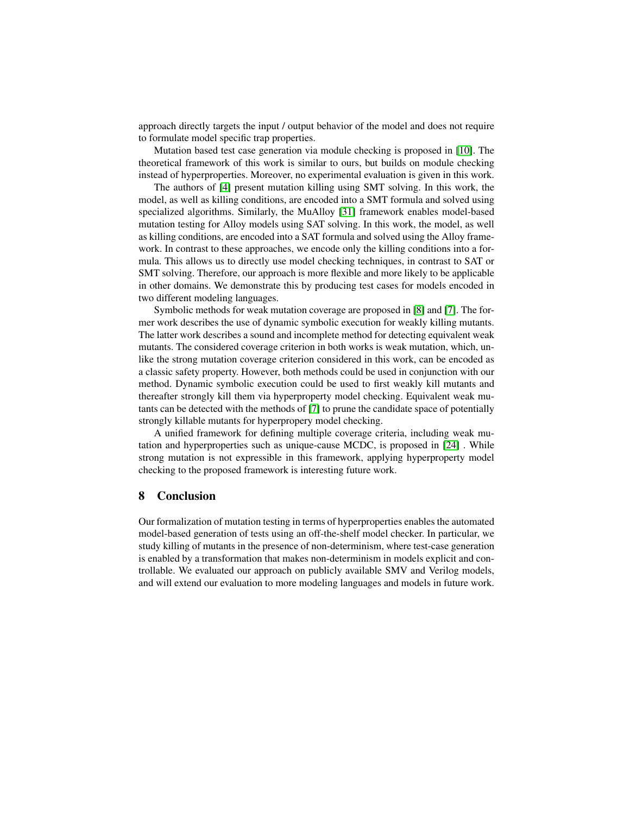approach directly targets the input / output behavior of the model and does not require to formulate model specific trap properties.

Mutation based test case generation via module checking is proposed in [\[10\]](#page-16-14). The theoretical framework of this work is similar to ours, but builds on module checking instead of hyperproperties. Moreover, no experimental evaluation is given in this work.

The authors of [\[4\]](#page-16-5) present mutation killing using SMT solving. In this work, the model, as well as killing conditions, are encoded into a SMT formula and solved using specialized algorithms. Similarly, the MuAlloy [\[31\]](#page-17-12) framework enables model-based mutation testing for Alloy models using SAT solving. In this work, the model, as well as killing conditions, are encoded into a SAT formula and solved using the Alloy framework. In contrast to these approaches, we encode only the killing conditions into a formula. This allows us to directly use model checking techniques, in contrast to SAT or SMT solving. Therefore, our approach is more flexible and more likely to be applicable in other domains. We demonstrate this by producing test cases for models encoded in two different modeling languages.

Symbolic methods for weak mutation coverage are proposed in [\[8\]](#page-16-15) and [\[7\]](#page-16-16). The former work describes the use of dynamic symbolic execution for weakly killing mutants. The latter work describes a sound and incomplete method for detecting equivalent weak mutants. The considered coverage criterion in both works is weak mutation, which, unlike the strong mutation coverage criterion considered in this work, can be encoded as a classic safety property. However, both methods could be used in conjunction with our method. Dynamic symbolic execution could be used to first weakly kill mutants and thereafter strongly kill them via hyperproperty model checking. Equivalent weak mutants can be detected with the methods of [\[7\]](#page-16-16) to prune the candidate space of potentially strongly killable mutants for hyperpropery model checking.

A unified framework for defining multiple coverage criteria, including weak mutation and hyperproperties such as unique-cause MCDC, is proposed in [\[24\]](#page-17-13) . While strong mutation is not expressible in this framework, applying hyperproperty model checking to the proposed framework is interesting future work.

### 8 Conclusion

Our formalization of mutation testing in terms of hyperproperties enables the automated model-based generation of tests using an off-the-shelf model checker. In particular, we study killing of mutants in the presence of non-determinism, where test-case generation is enabled by a transformation that makes non-determinism in models explicit and controllable. We evaluated our approach on publicly available SMV and Verilog models, and will extend our evaluation to more modeling languages and models in future work.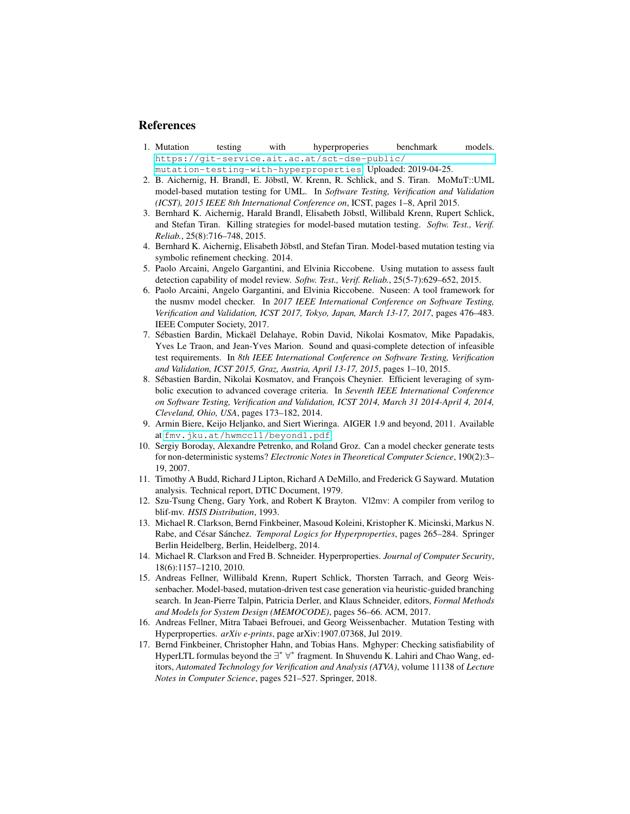### References

- <span id="page-16-13"></span>1. Mutation testing with hyperproperies benchmark models. [https://git-service.ait.ac.at/sct-dse-public/](https://git-service.ait.ac.at/sct-dse-public/mutation-testing-with-hyperproperties) [mutation-testing-with-hyperproperties](https://git-service.ait.ac.at/sct-dse-public/mutation-testing-with-hyperproperties). Uploaded: 2019-04-25.
- <span id="page-16-11"></span>2. B. Aichernig, H. Brandl, E. Jöbstl, W. Krenn, R. Schlick, and S. Tiran. MoMuT::UML model-based mutation testing for UML. In *Software Testing, Verification and Validation (ICST), 2015 IEEE 8th International Conference on*, ICST, pages 1–8, April 2015.
- <span id="page-16-12"></span>3. Bernhard K. Aichernig, Harald Brandl, Elisabeth Jobstl, Willibald Krenn, Rupert Schlick, ¨ and Stefan Tiran. Killing strategies for model-based mutation testing. *Softw. Test., Verif. Reliab.*, 25(8):716–748, 2015.
- <span id="page-16-5"></span>4. Bernhard K. Aichernig, Elisabeth Jöbstl, and Stefan Tiran. Model-based mutation testing via symbolic refinement checking. 2014.
- <span id="page-16-4"></span>5. Paolo Arcaini, Angelo Gargantini, and Elvinia Riccobene. Using mutation to assess fault detection capability of model review. *Softw. Test., Verif. Reliab.*, 25(5-7):629–652, 2015.
- <span id="page-16-9"></span>6. Paolo Arcaini, Angelo Gargantini, and Elvinia Riccobene. Nuseen: A tool framework for the nusmv model checker. In *2017 IEEE International Conference on Software Testing, Verification and Validation, ICST 2017, Tokyo, Japan, March 13-17, 2017*, pages 476–483. IEEE Computer Society, 2017.
- <span id="page-16-16"></span>7. Sébastien Bardin, Mickaël Delahaye, Robin David, Nikolai Kosmatov, Mike Papadakis, Yves Le Traon, and Jean-Yves Marion. Sound and quasi-complete detection of infeasible test requirements. In *8th IEEE International Conference on Software Testing, Verification and Validation, ICST 2015, Graz, Austria, April 13-17, 2015*, pages 1–10, 2015.
- <span id="page-16-15"></span>8. Sébastien Bardin, Nikolai Kosmatov, and François Cheynier. Efficient leveraging of symbolic execution to advanced coverage criteria. In *Seventh IEEE International Conference on Software Testing, Verification and Validation, ICST 2014, March 31 2014-April 4, 2014, Cleveland, Ohio, USA*, pages 173–182, 2014.
- <span id="page-16-10"></span>9. Armin Biere, Keijo Heljanko, and Siert Wieringa. AIGER 1.9 and beyond, 2011. Available at <fmv.jku.at/hwmcc11/beyond1.pdf>.
- <span id="page-16-14"></span>10. Sergiy Boroday, Alexandre Petrenko, and Roland Groz. Can a model checker generate tests for non-deterministic systems? *Electronic Notes in Theoretical Computer Science*, 190(2):3– 19, 2007.
- <span id="page-16-0"></span>11. Timothy A Budd, Richard J Lipton, Richard A DeMillo, and Frederick G Sayward. Mutation analysis. Technical report, DTIC Document, 1979.
- <span id="page-16-8"></span>12. Szu-Tsung Cheng, Gary York, and Robert K Brayton. Vl2mv: A compiler from verilog to blif-mv. *HSIS Distribution*, 1993.
- <span id="page-16-2"></span>13. Michael R. Clarkson, Bernd Finkbeiner, Masoud Koleini, Kristopher K. Micinski, Markus N. Rabe, and César Sánchez. *Temporal Logics for Hyperproperties*, pages 265–284. Springer Berlin Heidelberg, Berlin, Heidelberg, 2014.
- <span id="page-16-1"></span>14. Michael R. Clarkson and Fred B. Schneider. Hyperproperties. *Journal of Computer Security*, 18(6):1157–1210, 2010.
- <span id="page-16-6"></span>15. Andreas Fellner, Willibald Krenn, Rupert Schlick, Thorsten Tarrach, and Georg Weissenbacher. Model-based, mutation-driven test case generation via heuristic-guided branching search. In Jean-Pierre Talpin, Patricia Derler, and Klaus Schneider, editors, *Formal Methods and Models for System Design (MEMOCODE)*, pages 56–66. ACM, 2017.
- <span id="page-16-3"></span>16. Andreas Fellner, Mitra Tabaei Befrouei, and Georg Weissenbacher. Mutation Testing with Hyperproperties. *arXiv e-prints*, page arXiv:1907.07368, Jul 2019.
- <span id="page-16-7"></span>17. Bernd Finkbeiner, Christopher Hahn, and Tobias Hans. Mghyper: Checking satisfiability of HyperLTL formulas beyond the ∃<sup>\*</sup>  $\forall^*$  fragment. In Shuvendu K. Lahiri and Chao Wang, editors, *Automated Technology for Verification and Analysis (ATVA)*, volume 11138 of *Lecture Notes in Computer Science*, pages 521–527. Springer, 2018.